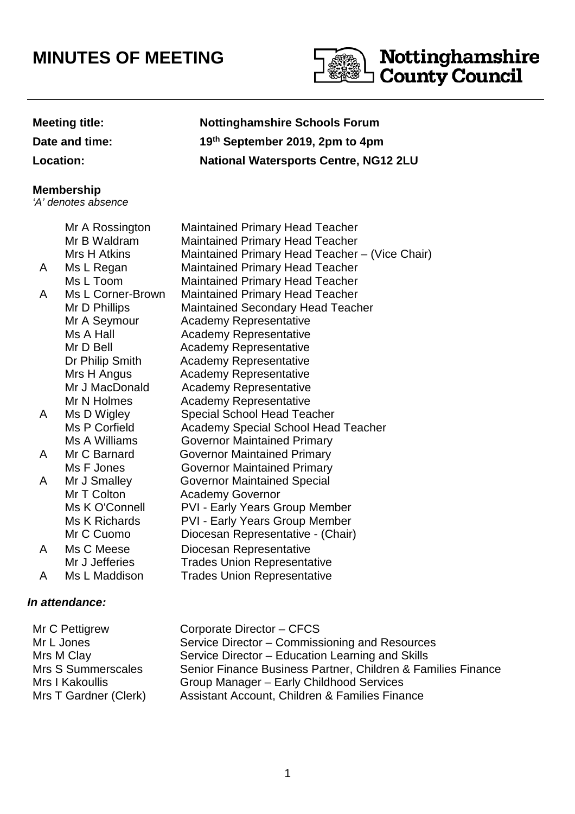# **MINUTES OF MEETING**



## **Meeting title: Nottinghamshire Schools Forum Date and time: 19th September 2019, 2pm to 4pm Location: National Watersports Centre, NG12 2LU**

### **Membership**

'A' denotes absence

|   | Mr A Rossington   | <b>Maintained Primary Head Teacher</b>         |
|---|-------------------|------------------------------------------------|
|   | Mr B Waldram      | <b>Maintained Primary Head Teacher</b>         |
|   | Mrs H Atkins      | Maintained Primary Head Teacher - (Vice Chair) |
| A | Ms L Regan        | <b>Maintained Primary Head Teacher</b>         |
|   | Ms L Toom         | <b>Maintained Primary Head Teacher</b>         |
| A | Ms L Corner-Brown | <b>Maintained Primary Head Teacher</b>         |
|   | Mr D Phillips     | <b>Maintained Secondary Head Teacher</b>       |
|   | Mr A Seymour      | <b>Academy Representative</b>                  |
|   | Ms A Hall         | <b>Academy Representative</b>                  |
|   | Mr D Bell         | <b>Academy Representative</b>                  |
|   | Dr Philip Smith   | <b>Academy Representative</b>                  |
|   | Mrs H Angus       | <b>Academy Representative</b>                  |
|   | Mr J MacDonald    | <b>Academy Representative</b>                  |
|   | Mr N Holmes       | <b>Academy Representative</b>                  |
| A | Ms D Wigley       | <b>Special School Head Teacher</b>             |
|   | Ms P Corfield     | <b>Academy Special School Head Teacher</b>     |
|   | Ms A Williams     | <b>Governor Maintained Primary</b>             |
| A | Mr C Barnard      | <b>Governor Maintained Primary</b>             |
|   | Ms F Jones        | <b>Governor Maintained Primary</b>             |
| A | Mr J Smalley      | <b>Governor Maintained Special</b>             |
|   | Mr T Colton       | <b>Academy Governor</b>                        |
|   | Ms K O'Connell    | <b>PVI - Early Years Group Member</b>          |
|   | Ms K Richards     | <b>PVI - Early Years Group Member</b>          |
|   | Mr C Cuomo        | Diocesan Representative - (Chair)              |
| A | Ms C Meese        | Diocesan Representative                        |
|   | Mr J Jefferies    | <b>Trades Union Representative</b>             |
| A | Ms L Maddison     | <b>Trades Union Representative</b>             |

#### **In attendance:**

| Mr C Pettigrew        | Corporate Director - CFCS                                    |
|-----------------------|--------------------------------------------------------------|
| Mr L Jones            | Service Director - Commissioning and Resources               |
| Mrs M Clay            | Service Director - Education Learning and Skills             |
| Mrs S Summerscales    | Senior Finance Business Partner, Children & Families Finance |
| Mrs I Kakoullis       | Group Manager - Early Childhood Services                     |
| Mrs T Gardner (Clerk) | Assistant Account, Children & Families Finance               |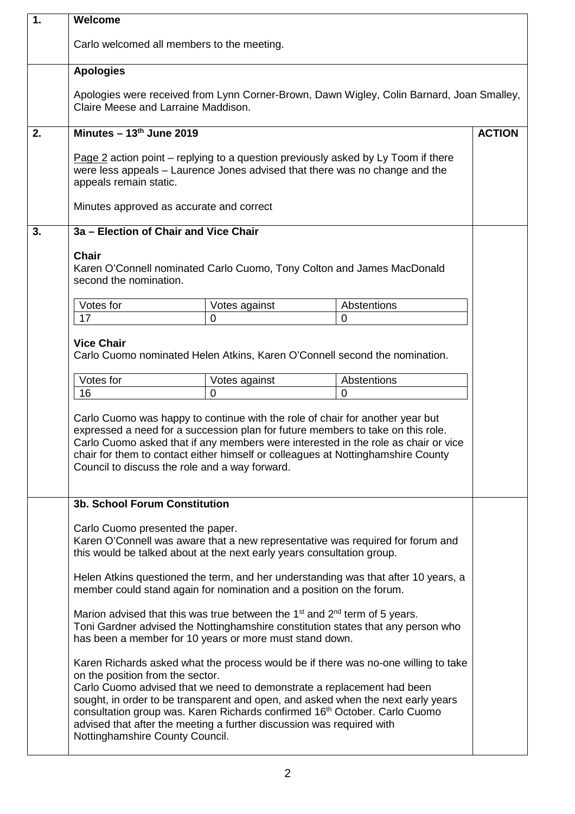| 1. | Welcome                                                                                                                                                                                           |                                                                                                                                                 |                                                                                                                                                                                                                                                                                                                                            |               |
|----|---------------------------------------------------------------------------------------------------------------------------------------------------------------------------------------------------|-------------------------------------------------------------------------------------------------------------------------------------------------|--------------------------------------------------------------------------------------------------------------------------------------------------------------------------------------------------------------------------------------------------------------------------------------------------------------------------------------------|---------------|
|    |                                                                                                                                                                                                   | Carlo welcomed all members to the meeting.                                                                                                      |                                                                                                                                                                                                                                                                                                                                            |               |
|    | <b>Apologies</b>                                                                                                                                                                                  |                                                                                                                                                 |                                                                                                                                                                                                                                                                                                                                            |               |
|    | Claire Meese and Larraine Maddison.                                                                                                                                                               |                                                                                                                                                 | Apologies were received from Lynn Corner-Brown, Dawn Wigley, Colin Barnard, Joan Smalley,                                                                                                                                                                                                                                                  |               |
| 2. | Minutes $-13th$ June 2019                                                                                                                                                                         |                                                                                                                                                 |                                                                                                                                                                                                                                                                                                                                            | <b>ACTION</b> |
|    | <b>Page 2</b> action point – replying to a question previously asked by Ly Toom if there<br>were less appeals – Laurence Jones advised that there was no change and the<br>appeals remain static. |                                                                                                                                                 |                                                                                                                                                                                                                                                                                                                                            |               |
|    | Minutes approved as accurate and correct                                                                                                                                                          |                                                                                                                                                 |                                                                                                                                                                                                                                                                                                                                            |               |
| 3. | 3a - Election of Chair and Vice Chair                                                                                                                                                             |                                                                                                                                                 |                                                                                                                                                                                                                                                                                                                                            |               |
|    | <b>Chair</b><br>second the nomination.                                                                                                                                                            |                                                                                                                                                 | Karen O'Connell nominated Carlo Cuomo, Tony Colton and James MacDonald                                                                                                                                                                                                                                                                     |               |
|    | Votes for                                                                                                                                                                                         | Votes against                                                                                                                                   | Abstentions                                                                                                                                                                                                                                                                                                                                |               |
|    | 17                                                                                                                                                                                                | 0                                                                                                                                               | $\Omega$                                                                                                                                                                                                                                                                                                                                   |               |
|    | <b>Vice Chair</b>                                                                                                                                                                                 |                                                                                                                                                 | Carlo Cuomo nominated Helen Atkins, Karen O'Connell second the nomination.                                                                                                                                                                                                                                                                 |               |
|    | Votes for                                                                                                                                                                                         | Votes against                                                                                                                                   | Abstentions                                                                                                                                                                                                                                                                                                                                |               |
|    | 16                                                                                                                                                                                                | $\Omega$                                                                                                                                        | $\overline{0}$                                                                                                                                                                                                                                                                                                                             |               |
|    |                                                                                                                                                                                                   | Council to discuss the role and a way forward.                                                                                                  | Carlo Cuomo was happy to continue with the role of chair for another year but<br>expressed a need for a succession plan for future members to take on this role.<br>Carlo Cuomo asked that if any members were interested in the role as chair or vice<br>chair for them to contact either himself or colleagues at Nottinghamshire County |               |
|    | <b>3b. School Forum Constitution</b>                                                                                                                                                              |                                                                                                                                                 |                                                                                                                                                                                                                                                                                                                                            |               |
|    | Carlo Cuomo presented the paper.                                                                                                                                                                  | this would be talked about at the next early years consultation group.                                                                          | Karen O'Connell was aware that a new representative was required for forum and                                                                                                                                                                                                                                                             |               |
|    |                                                                                                                                                                                                   | member could stand again for nomination and a position on the forum.                                                                            | Helen Atkins questioned the term, and her understanding was that after 10 years, a                                                                                                                                                                                                                                                         |               |
|    |                                                                                                                                                                                                   | Marion advised that this was true between the $1st$ and $2nd$ term of 5 years.<br>has been a member for 10 years or more must stand down.       | Toni Gardner advised the Nottinghamshire constitution states that any person who                                                                                                                                                                                                                                                           |               |
|    | on the position from the sector.<br>Nottinghamshire County Council.                                                                                                                               | Carlo Cuomo advised that we need to demonstrate a replacement had been<br>advised that after the meeting a further discussion was required with | Karen Richards asked what the process would be if there was no-one willing to take<br>sought, in order to be transparent and open, and asked when the next early years<br>consultation group was. Karen Richards confirmed 16 <sup>th</sup> October. Carlo Cuomo                                                                           |               |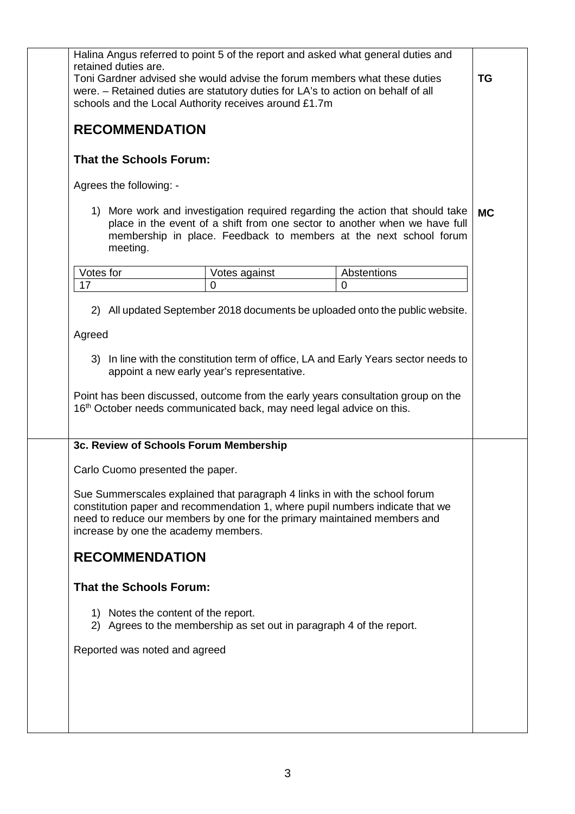| retained duties are.                   | Halina Angus referred to point 5 of the report and asked what general duties and                                                                                                                                                        |                                                                                                                                                                                                                                  |           |
|----------------------------------------|-----------------------------------------------------------------------------------------------------------------------------------------------------------------------------------------------------------------------------------------|----------------------------------------------------------------------------------------------------------------------------------------------------------------------------------------------------------------------------------|-----------|
|                                        | Toni Gardner advised she would advise the forum members what these duties<br>were. - Retained duties are statutory duties for LA's to action on behalf of all<br>schools and the Local Authority receives around £1.7m                  |                                                                                                                                                                                                                                  | <b>TG</b> |
| <b>RECOMMENDATION</b>                  |                                                                                                                                                                                                                                         |                                                                                                                                                                                                                                  |           |
| <b>That the Schools Forum:</b>         |                                                                                                                                                                                                                                         |                                                                                                                                                                                                                                  |           |
| Agrees the following: -                |                                                                                                                                                                                                                                         |                                                                                                                                                                                                                                  |           |
| meeting.                               |                                                                                                                                                                                                                                         | 1) More work and investigation required regarding the action that should take<br>place in the event of a shift from one sector to another when we have full<br>membership in place. Feedback to members at the next school forum | <b>MC</b> |
| Votes for                              | Votes against                                                                                                                                                                                                                           | Abstentions                                                                                                                                                                                                                      |           |
| 17                                     | $\mathbf 0$                                                                                                                                                                                                                             | $\mathbf 0$                                                                                                                                                                                                                      |           |
|                                        | 2) All updated September 2018 documents be uploaded onto the public website.                                                                                                                                                            |                                                                                                                                                                                                                                  |           |
| Agreed                                 |                                                                                                                                                                                                                                         |                                                                                                                                                                                                                                  |           |
|                                        | appoint a new early year's representative.                                                                                                                                                                                              | 3) In line with the constitution term of office, LA and Early Years sector needs to                                                                                                                                              |           |
|                                        | Point has been discussed, outcome from the early years consultation group on the<br>16 <sup>th</sup> October needs communicated back, may need legal advice on this.                                                                    |                                                                                                                                                                                                                                  |           |
| 3c. Review of Schools Forum Membership |                                                                                                                                                                                                                                         |                                                                                                                                                                                                                                  |           |
| Carlo Cuomo presented the paper.       |                                                                                                                                                                                                                                         |                                                                                                                                                                                                                                  |           |
| increase by one the academy members.   | Sue Summerscales explained that paragraph 4 links in with the school forum<br>constitution paper and recommendation 1, where pupil numbers indicate that we<br>need to reduce our members by one for the primary maintained members and |                                                                                                                                                                                                                                  |           |
| <b>RECOMMENDATION</b>                  |                                                                                                                                                                                                                                         |                                                                                                                                                                                                                                  |           |
| <b>That the Schools Forum:</b>         |                                                                                                                                                                                                                                         |                                                                                                                                                                                                                                  |           |
| 1) Notes the content of the report.    | 2) Agrees to the membership as set out in paragraph 4 of the report.                                                                                                                                                                    |                                                                                                                                                                                                                                  |           |
| Reported was noted and agreed          |                                                                                                                                                                                                                                         |                                                                                                                                                                                                                                  |           |
|                                        |                                                                                                                                                                                                                                         |                                                                                                                                                                                                                                  |           |
|                                        |                                                                                                                                                                                                                                         |                                                                                                                                                                                                                                  |           |
|                                        |                                                                                                                                                                                                                                         |                                                                                                                                                                                                                                  |           |
|                                        |                                                                                                                                                                                                                                         |                                                                                                                                                                                                                                  |           |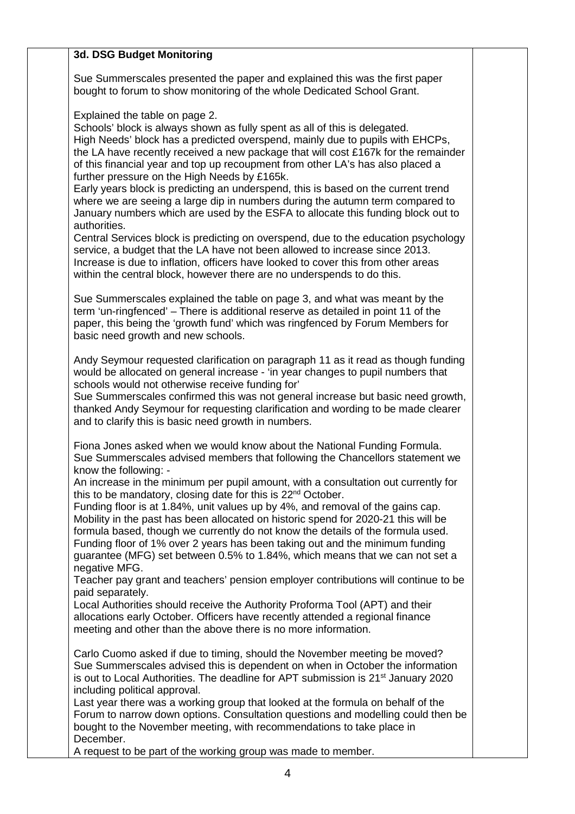#### **3d. DSG Budget Monitoring**

Sue Summerscales presented the paper and explained this was the first paper bought to forum to show monitoring of the whole Dedicated School Grant.

Explained the table on page 2.

Schools' block is always shown as fully spent as all of this is delegated. High Needs' block has a predicted overspend, mainly due to pupils with EHCPs, the LA have recently received a new package that will cost £167k for the remainder of this financial year and top up recoupment from other LA's has also placed a further pressure on the High Needs by £165k.

Early years block is predicting an underspend, this is based on the current trend where we are seeing a large dip in numbers during the autumn term compared to January numbers which are used by the ESFA to allocate this funding block out to authorities.

Central Services block is predicting on overspend, due to the education psychology service, a budget that the LA have not been allowed to increase since 2013. Increase is due to inflation, officers have looked to cover this from other areas within the central block, however there are no underspends to do this.

Sue Summerscales explained the table on page 3, and what was meant by the term 'un-ringfenced' – There is additional reserve as detailed in point 11 of the paper, this being the 'growth fund' which was ringfenced by Forum Members for basic need growth and new schools.

Andy Seymour requested clarification on paragraph 11 as it read as though funding would be allocated on general increase - 'in year changes to pupil numbers that schools would not otherwise receive funding for'

Sue Summerscales confirmed this was not general increase but basic need growth, thanked Andy Seymour for requesting clarification and wording to be made clearer and to clarify this is basic need growth in numbers.

Fiona Jones asked when we would know about the National Funding Formula. Sue Summerscales advised members that following the Chancellors statement we know the following: -

An increase in the minimum per pupil amount, with a consultation out currently for this to be mandatory, closing date for this is 22<sup>nd</sup> October.

Funding floor is at 1.84%, unit values up by 4%, and removal of the gains cap. Mobility in the past has been allocated on historic spend for 2020-21 this will be formula based, though we currently do not know the details of the formula used. Funding floor of 1% over 2 years has been taking out and the minimum funding guarantee (MFG) set between 0.5% to 1.84%, which means that we can not set a negative MFG.

Teacher pay grant and teachers' pension employer contributions will continue to be paid separately.

Local Authorities should receive the Authority Proforma Tool (APT) and their allocations early October. Officers have recently attended a regional finance meeting and other than the above there is no more information.

Carlo Cuomo asked if due to timing, should the November meeting be moved? Sue Summerscales advised this is dependent on when in October the information is out to Local Authorities. The deadline for APT submission is 21<sup>st</sup> January 2020 including political approval.

Last year there was a working group that looked at the formula on behalf of the Forum to narrow down options. Consultation questions and modelling could then be bought to the November meeting, with recommendations to take place in December.

A request to be part of the working group was made to member.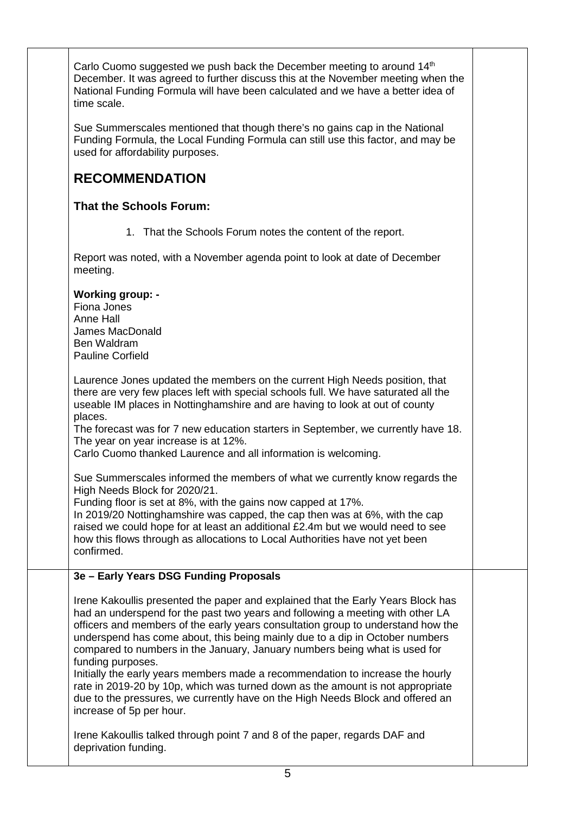| Carlo Cuomo suggested we push back the December meeting to around 14 <sup>th</sup><br>December. It was agreed to further discuss this at the November meeting when the<br>National Funding Formula will have been calculated and we have a better idea of<br>time scale.                                                                                                                                                                                                                                                                                                                                                                                                                                                    |  |
|-----------------------------------------------------------------------------------------------------------------------------------------------------------------------------------------------------------------------------------------------------------------------------------------------------------------------------------------------------------------------------------------------------------------------------------------------------------------------------------------------------------------------------------------------------------------------------------------------------------------------------------------------------------------------------------------------------------------------------|--|
| Sue Summerscales mentioned that though there's no gains cap in the National<br>Funding Formula, the Local Funding Formula can still use this factor, and may be<br>used for affordability purposes.                                                                                                                                                                                                                                                                                                                                                                                                                                                                                                                         |  |
| <b>RECOMMENDATION</b>                                                                                                                                                                                                                                                                                                                                                                                                                                                                                                                                                                                                                                                                                                       |  |
| <b>That the Schools Forum:</b>                                                                                                                                                                                                                                                                                                                                                                                                                                                                                                                                                                                                                                                                                              |  |
| 1. That the Schools Forum notes the content of the report.                                                                                                                                                                                                                                                                                                                                                                                                                                                                                                                                                                                                                                                                  |  |
| Report was noted, with a November agenda point to look at date of December<br>meeting.                                                                                                                                                                                                                                                                                                                                                                                                                                                                                                                                                                                                                                      |  |
| <b>Working group: -</b><br>Fiona Jones<br>Anne Hall<br>James MacDonald<br>Ben Waldram<br><b>Pauline Corfield</b>                                                                                                                                                                                                                                                                                                                                                                                                                                                                                                                                                                                                            |  |
| Laurence Jones updated the members on the current High Needs position, that<br>there are very few places left with special schools full. We have saturated all the<br>useable IM places in Nottinghamshire and are having to look at out of county<br>places.<br>The forecast was for 7 new education starters in September, we currently have 18.<br>The year on year increase is at 12%.<br>Carlo Cuomo thanked Laurence and all information is welcoming.                                                                                                                                                                                                                                                                |  |
| Sue Summerscales informed the members of what we currently know regards the<br>High Needs Block for 2020/21.<br>Funding floor is set at 8%, with the gains now capped at 17%.<br>In 2019/20 Nottinghamshire was capped, the cap then was at 6%, with the cap<br>raised we could hope for at least an additional £2.4m but we would need to see<br>how this flows through as allocations to Local Authorities have not yet been<br>confirmed.                                                                                                                                                                                                                                                                                |  |
| 3e - Early Years DSG Funding Proposals                                                                                                                                                                                                                                                                                                                                                                                                                                                                                                                                                                                                                                                                                      |  |
| Irene Kakoullis presented the paper and explained that the Early Years Block has<br>had an underspend for the past two years and following a meeting with other LA<br>officers and members of the early years consultation group to understand how the<br>underspend has come about, this being mainly due to a dip in October numbers<br>compared to numbers in the January, January numbers being what is used for<br>funding purposes.<br>Initially the early years members made a recommendation to increase the hourly<br>rate in 2019-20 by 10p, which was turned down as the amount is not appropriate<br>due to the pressures, we currently have on the High Needs Block and offered an<br>increase of 5p per hour. |  |
| Irene Kakoullis talked through point 7 and 8 of the paper, regards DAF and<br>deprivation funding.                                                                                                                                                                                                                                                                                                                                                                                                                                                                                                                                                                                                                          |  |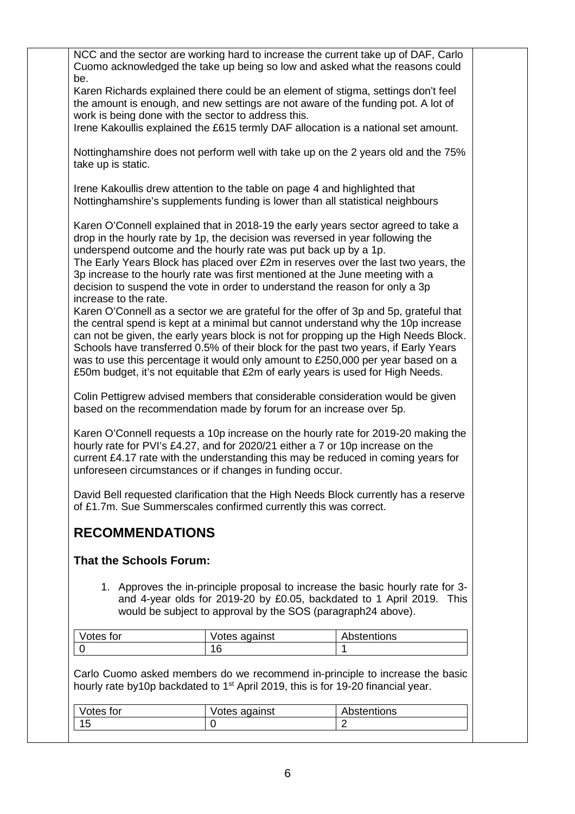| NCC and the sector are working hard to increase the current take up of DAF, Carlo<br>Cuomo acknowledged the take up being so low and asked what the reasons could                                                                                                                                                                                                                                                                                                                                                                                                                                                                                                                                                                                                                                                                                                                                                                                                   |                                                              |                                                                                                                                                         |
|---------------------------------------------------------------------------------------------------------------------------------------------------------------------------------------------------------------------------------------------------------------------------------------------------------------------------------------------------------------------------------------------------------------------------------------------------------------------------------------------------------------------------------------------------------------------------------------------------------------------------------------------------------------------------------------------------------------------------------------------------------------------------------------------------------------------------------------------------------------------------------------------------------------------------------------------------------------------|--------------------------------------------------------------|---------------------------------------------------------------------------------------------------------------------------------------------------------|
| be.<br>Karen Richards explained there could be an element of stigma, settings don't feel<br>the amount is enough, and new settings are not aware of the funding pot. A lot of                                                                                                                                                                                                                                                                                                                                                                                                                                                                                                                                                                                                                                                                                                                                                                                       |                                                              |                                                                                                                                                         |
| work is being done with the sector to address this.<br>Irene Kakoullis explained the £615 termly DAF allocation is a national set amount.                                                                                                                                                                                                                                                                                                                                                                                                                                                                                                                                                                                                                                                                                                                                                                                                                           |                                                              |                                                                                                                                                         |
| take up is static.                                                                                                                                                                                                                                                                                                                                                                                                                                                                                                                                                                                                                                                                                                                                                                                                                                                                                                                                                  |                                                              | Nottinghamshire does not perform well with take up on the 2 years old and the 75%                                                                       |
| Irene Kakoullis drew attention to the table on page 4 and highlighted that<br>Nottinghamshire's supplements funding is lower than all statistical neighbours                                                                                                                                                                                                                                                                                                                                                                                                                                                                                                                                                                                                                                                                                                                                                                                                        |                                                              |                                                                                                                                                         |
| Karen O'Connell explained that in 2018-19 the early years sector agreed to take a<br>drop in the hourly rate by 1p, the decision was reversed in year following the<br>underspend outcome and the hourly rate was put back up by a 1p.<br>3p increase to the hourly rate was first mentioned at the June meeting with a<br>decision to suspend the vote in order to understand the reason for only a 3p<br>increase to the rate.<br>Karen O'Connell as a sector we are grateful for the offer of 3p and 5p, grateful that<br>the central spend is kept at a minimal but cannot understand why the 10p increase<br>can not be given, the early years block is not for propping up the High Needs Block.<br>Schools have transferred 0.5% of their block for the past two years, if Early Years<br>was to use this percentage it would only amount to £250,000 per year based on a<br>£50m budget, it's not equitable that £2m of early years is used for High Needs. |                                                              | The Early Years Block has placed over £2m in reserves over the last two years, the                                                                      |
| Colin Pettigrew advised members that considerable consideration would be given<br>based on the recommendation made by forum for an increase over 5p.                                                                                                                                                                                                                                                                                                                                                                                                                                                                                                                                                                                                                                                                                                                                                                                                                |                                                              |                                                                                                                                                         |
| hourly rate for PVI's £4.27, and for 2020/21 either a 7 or 10p increase on the<br>current £4.17 rate with the understanding this may be reduced in coming years for<br>unforeseen circumstances or if changes in funding occur.                                                                                                                                                                                                                                                                                                                                                                                                                                                                                                                                                                                                                                                                                                                                     |                                                              | Karen O'Connell requests a 10p increase on the hourly rate for 2019-20 making the                                                                       |
| David Bell requested clarification that the High Needs Block currently has a reserve<br>of £1.7m. Sue Summerscales confirmed currently this was correct.                                                                                                                                                                                                                                                                                                                                                                                                                                                                                                                                                                                                                                                                                                                                                                                                            |                                                              |                                                                                                                                                         |
| <b>RECOMMENDATIONS</b>                                                                                                                                                                                                                                                                                                                                                                                                                                                                                                                                                                                                                                                                                                                                                                                                                                                                                                                                              |                                                              |                                                                                                                                                         |
| <b>That the Schools Forum:</b>                                                                                                                                                                                                                                                                                                                                                                                                                                                                                                                                                                                                                                                                                                                                                                                                                                                                                                                                      |                                                              |                                                                                                                                                         |
|                                                                                                                                                                                                                                                                                                                                                                                                                                                                                                                                                                                                                                                                                                                                                                                                                                                                                                                                                                     | would be subject to approval by the SOS (paragraph24 above). | 1. Approves the in-principle proposal to increase the basic hourly rate for 3-<br>and 4-year olds for 2019-20 by £0.05, backdated to 1 April 2019. This |
| Votes for                                                                                                                                                                                                                                                                                                                                                                                                                                                                                                                                                                                                                                                                                                                                                                                                                                                                                                                                                           | Votes against                                                | Abstentions                                                                                                                                             |
| $\overline{0}$                                                                                                                                                                                                                                                                                                                                                                                                                                                                                                                                                                                                                                                                                                                                                                                                                                                                                                                                                      | 16                                                           | 1                                                                                                                                                       |
| hourly rate by 10p backdated to 1 <sup>st</sup> April 2019, this is for 19-20 financial year.                                                                                                                                                                                                                                                                                                                                                                                                                                                                                                                                                                                                                                                                                                                                                                                                                                                                       |                                                              | Carlo Cuomo asked members do we recommend in-principle to increase the basic                                                                            |
| Votes for                                                                                                                                                                                                                                                                                                                                                                                                                                                                                                                                                                                                                                                                                                                                                                                                                                                                                                                                                           | Votes against                                                | Abstentions                                                                                                                                             |
| 15                                                                                                                                                                                                                                                                                                                                                                                                                                                                                                                                                                                                                                                                                                                                                                                                                                                                                                                                                                  | 0                                                            | $\overline{2}$                                                                                                                                          |
|                                                                                                                                                                                                                                                                                                                                                                                                                                                                                                                                                                                                                                                                                                                                                                                                                                                                                                                                                                     |                                                              |                                                                                                                                                         |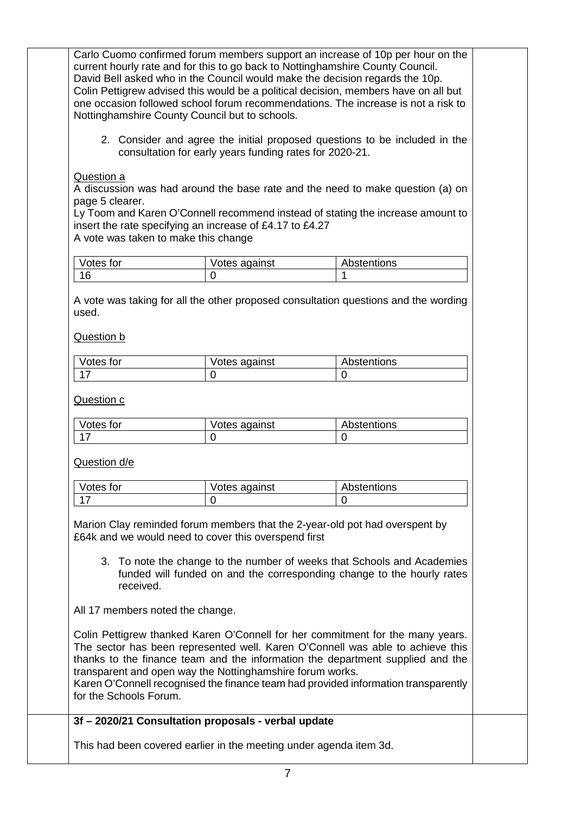Carlo Cuomo confirmed forum members support an increase of 10p per hour on the current hourly rate and for this to go back to Nottinghamshire County Council. David Bell asked who in the Council would make the decision regards the 10p. Colin Pettigrew advised this would be a political decision, members have on all but one occasion followed school forum recommendations. The increase is not a risk to Nottinghamshire County Council but to schools.

2. Consider and agree the initial proposed questions to be included in the consultation for early years funding rates for 2020-21.

Question a

A discussion was had around the base rate and the need to make question (a) on page 5 clearer.

Ly Toom and Karen O'Connell recommend instead of stating the increase amount to insert the rate specifying an increase of £4.17 to £4.27

A vote was taken to make this change

| Votes for | Votes against | Abstentions |
|-----------|---------------|-------------|
| AC        |               |             |

A vote was taking for all the other proposed consultation questions and the wording used.

Question b

| Votes for | Votes against | Abstentions |
|-----------|---------------|-------------|
|           |               |             |

Question c

| Votes for | Votes against | Abstentions |
|-----------|---------------|-------------|
|           |               |             |

Question d/e

| Votes for | Votes against | Abstentions |
|-----------|---------------|-------------|
|           |               |             |

Marion Clay reminded forum members that the 2-year-old pot had overspent by £64k and we would need to cover this overspend first

3. To note the change to the number of weeks that Schools and Academies funded will funded on and the corresponding change to the hourly rates received.

All 17 members noted the change.

Colin Pettigrew thanked Karen O'Connell for her commitment for the many years. The sector has been represented well. Karen O'Connell was able to achieve this thanks to the finance team and the information the department supplied and the transparent and open way the Nottinghamshire forum works.

Karen O'Connell recognised the finance team had provided information transparently for the Schools Forum.

#### **3f – 2020/21 Consultation proposals - verbal update**

This had been covered earlier in the meeting under agenda item 3d.